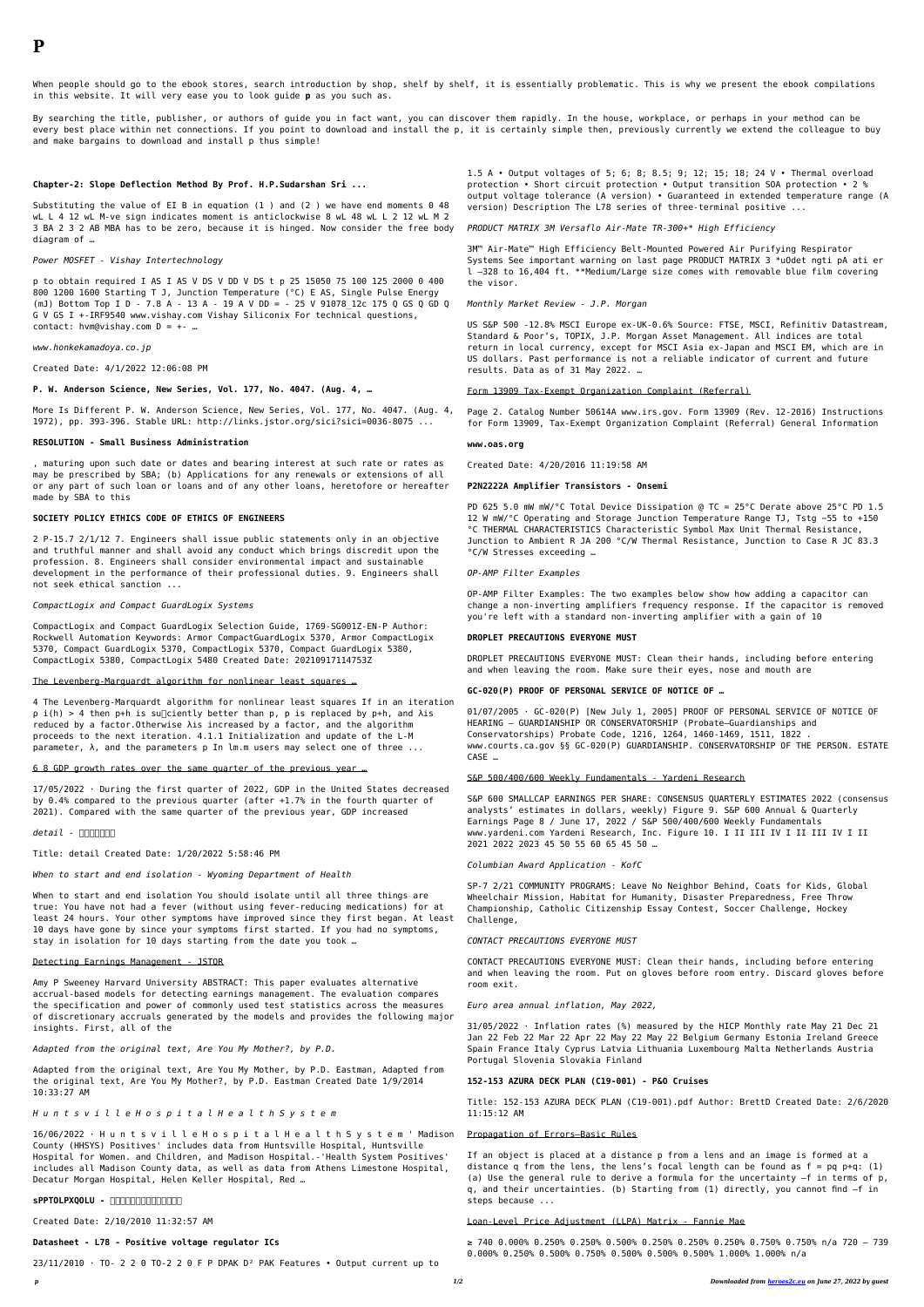When people should go to the ebook stores, search introduction by shop, shelf by shelf, it is essentially problematic. This is why we present the ebook compilations in this website. It will very ease you to look guide **p** as you such as.

By searching the title, publisher, or authors of guide you in fact want, you can discover them rapidly. In the house, workplace, or perhaps in your method can be every best place within net connections. If you point to download and install the p, it is certainly simple then, previously currently we extend the colleague to buy and make bargains to download and install p thus simple!

p to obtain required I AS I AS V DS V DD V DS t p 25 15050 75 100 125 2000 0 400 800 1200 1600 Starting T J, Junction Temperature (°C) E AS, Single Pulse Energy (mJ) Bottom Top I D - 7.8 A - 13 A - 19 A V DD = - 25 V 91078\_12c 175 Q GS Q GD Q G V GS I +-IRF9540 www.vishay.com Vishay Siliconix For technical questions, contact: hvm@vishay.com  $D = +-$  ...

### **Chapter-2: Slope Deflection Method By Prof. H.P.Sudarshan Sri ...**

Substituting the value of EI B in equation (1 ) and (2 ) we have end moments 0 48 wL L 4 12 wL M-ve sign indicates moment is anticlockwise 8 wL 48 wL L 2 12 wL M 2 3 BA 2 3 2 AB MBA has to be zero, because it is hinged. Now consider the free body diagram of …

#### *Power MOSFET - Vishay Intertechnology*

4 The Levenberg-Marquardt algorithm for nonlinear least squares If in an iteration  $\rho$  i(h) > 4 then p+h is su $\Box$ ciently better than p, p is replaced by p+h, and  $\lambda$ is reduced by a factor.Otherwise λis increased by a factor, and the algorithm proceeds to the next iteration. 4.1.1 Initialization and update of the L-M parameter,  $\lambda$ , and the parameters p In lm.m users may select one of three ...

*www.honkekamadoya.co.jp*

Created Date: 4/1/2022 12:06:08 PM

**P. W. Anderson Science, New Series, Vol. 177, No. 4047. (Aug. 4, …**

More Is Different P. W. Anderson Science, New Series, Vol. 177, No. 4047. (Aug. 4, 1972), pp. 393-396. Stable URL: http://links.jstor.org/sici?sici=0036-8075 ...

#### **RESOLUTION - Small Business Administration**

, maturing upon such date or dates and bearing interest at such rate or rates as may be prescribed by SBA; (b) Applications for any renewals or extensions of all or any part of such loan or loans and of any other loans, heretofore or hereafter made by SBA to this

## **SOCIETY POLICY ETHICS CODE OF ETHICS OF ENGINEERS**

2 P-15.7 2/1/12 7. Engineers shall issue public statements only in an objective and truthful manner and shall avoid any conduct which brings discredit upon the profession. 8. Engineers shall consider environmental impact and sustainable development in the performance of their professional duties. 9. Engineers shall not seek ethical sanction ...

#### *CompactLogix and Compact GuardLogix Systems*

CompactLogix and Compact GuardLogix Selection Guide, 1769-SG001Z-EN-P Author: Rockwell Automation Keywords: Armor CompactGuardLogix 5370, Armor CompactLogix 5370, Compact GuardLogix 5370, CompactLogix 5370, Compact GuardLogix 5380, CompactLogix 5380, CompactLogix 5480 Created Date: 20210917114753Z

The Levenberg-Marquardt algorithm for nonlinear least squares …

#### 6 8 GDP growth rates over the same quarter of the previous year …

17/05/2022 · During the first quarter of 2022, GDP in the United States decreased by 0.4% compared to the previous quarter (after +1.7% in the fourth quarter of 2021). Compared with the same quarter of the previous year, GDP increased

### *detail -* <u>ココココココ</u>

Title: detail Created Date: 1/20/2022 5:58:46 PM

*When to start and end isolation - Wyoming Department of Health*

When to start and end isolation You should isolate until all three things are true: You have not had a fever (without using fever-reducing medications) for at least 24 hours. Your other symptoms have improved since they first began. At least 10 days have gone by since your symptoms first started. If you had no symptoms, stay in isolation for 10 days starting from the date you took …

### Detecting Earnings Management - JSTOR

Amy P Sweeney Harvard University ABSTRACT: This paper evaluates alternative accrual-based models for detecting earnings management. The evaluation compares the specification and power of commonly used test statistics across the measures of discretionary accruals generated by the models and provides the following major insights. First, all of the

*Adapted from the original text, Are You My Mother?, by P.D.*

Adapted from the original text, Are You My Mother, by P.D. Eastman, Adapted from the original text, Are You My Mother?, by P.D. Eastman Created Date 1/9/2014 10:33:27 AM

*H u n t s v i l l e H o s p i t a l H e a l t h S y s t e m*

16/06/2022 · H u n t s v i l l e H o s p i t a l H e a l t h S y s t e m ' Madison County (HHSYS) Positives' includes data from Huntsville Hospital, Huntsville Hospital for Women. and Children, and Madison Hospital.-'Health System Positives' includes all Madison County data, as well as data from Athens Limestone Hospital, Decatur Morgan Hospital, Helen Keller Hospital, Red …

**SPPTOLPXQOLU - 00000000000000** 

Created Date: 2/10/2010 11:32:57 AM

**Datasheet - L78 - Positive voltage regulator ICs**

 $23/11/2010$  · TO- 2 2 0 TO-2 2 0 F P DPAK D<sup>2</sup> PAK Features • Output current up to

1.5 A • Output voltages of 5; 6; 8; 8.5; 9; 12; 15; 18; 24 V • Thermal overload protection • Short circuit protection • Output transition SOA protection • 2 % output voltage tolerance (A version) • Guaranteed in extended temperature range (A version) Description The L78 series of three-terminal positive ...

*PRODUCT MATRIX 3M Versaflo Air-Mate TR-300+\* High Efficiency*

3M™ Air-Mate™ High Efficiency Belt-Mounted Powered Air Purifying Respirator Systems See important warning on last page PRODUCT MATRIX 3 \*uOdet ngti pA ati er l –328 to 16,404 ft. \*\*Medium/Large size comes with removable blue film covering the visor.

## *Monthly Market Review - J.P. Morgan*

US S&P 500 -12.8% MSCI Europe ex-UK-0.6% Source: FTSE, MSCI, Refinitiv Datastream, Standard & Poor's, TOPIX, J.P. Morgan Asset Management. All indices are total return in local currency, except for MSCI Asia ex-Japan and MSCI EM, which are in US dollars. Past performance is not a reliable indicator of current and future results. Data as of 31 May 2022. …

#### Form 13909 Tax-Exempt Organization Complaint (Referral)

Page 2. Catalog Number 50614A www.irs.gov. Form 13909 (Rev. 12-2016) Instructions for Form 13909, Tax-Exempt Organization Complaint (Referral) General Information

## **www.oas.org**

Created Date: 4/20/2016 11:19:58 AM

## **P2N2222A Amplifier Transistors - Onsemi**

PD 625 5.0 mW mW/°C Total Device Dissipation @ TC = 25°C Derate above 25°C PD 1.5 12 W mW/°C Operating and Storage Junction Temperature Range TJ, Tstg −55 to +150 °C THERMAL CHARACTERISTICS Characteristic Symbol Max Unit Thermal Resistance, Junction to Ambient R JA 200 °C/W Thermal Resistance, Junction to Case R JC 83.3 °C/W Stresses exceeding …

*OP-AMP Filter Examples*

OP-AMP Filter Examples: The two examples below show how adding a capacitor can change a non-inverting amplifiers frequency response. If the capacitor is removed you're left with a standard non-inverting amplifier with a gain of 10

# **DROPLET PRECAUTIONS EVERYONE MUST**

DROPLET PRECAUTIONS EVERYONE MUST: Clean their hands, including before entering and when leaving the room. Make sure their eyes, nose and mouth are

# **GC-020(P) PROOF OF PERSONAL SERVICE OF NOTICE OF …**

01/07/2005 · GC-020(P) [New July 1, 2005] PROOF OF PERSONAL SERVICE OF NOTICE OF HEARING — GUARDIANSHIP OR CONSERVATORSHIP (Probate—Guardianships and Conservatorships) Probate Code, 1216, 1264, 1460-1469, 1511, 1822 . www.courts.ca.gov §§ GC-020(P) GUARDIANSHIP. CONSERVATORSHIP OF THE PERSON. ESTATE CASE …

### S&P 500/400/600 Weekly Fundamentals - Yardeni Research

S&P 600 SMALLCAP EARNINGS PER SHARE: CONSENSUS QUARTERLY ESTIMATES 2022 (consensus analysts' estimates in dollars, weekly) Figure 9. S&P 600 Annual & Quarterly Earnings Page 8 / June 17, 2022 / S&P 500/400/600 Weekly Fundamentals www.yardeni.com Yardeni Research, Inc. Figure 10. I II III IV I II III IV I II 2021 2022 2023 45 50 55 60 65 45 50 …

*Columbian Award Application - KofC*

SP-7 2/21 COMMUNITY PROGRAMS: Leave No Neighbor Behind, Coats for Kids, Global Wheelchair Mission, Habitat for Humanity, Disaster Preparedness, Free Throw Championship, Catholic Citizenship Essay Contest, Soccer Challenge, Hockey Challenge,

### *CONTACT PRECAUTIONS EVERYONE MUST*

CONTACT PRECAUTIONS EVERYONE MUST: Clean their hands, including before entering and when leaving the room. Put on gloves before room entry. Discard gloves before room exit.

*Euro area annual inflation, May 2022,*

31/05/2022 · Inflation rates (%) measured by the HICP Monthly rate May 21 Dec 21 Jan 22 Feb 22 Mar 22 Apr 22 May 22 May 22 Belgium Germany Estonia Ireland Greece Spain France Italy Cyprus Latvia Lithuania Luxembourg Malta Netherlands Austria Portugal Slovenia Slovakia Finland

## **152-153 AZURA DECK PLAN (C19-001) - P&O Cruises**

Title: 152-153 AZURA DECK PLAN (C19-001).pdf Author: BrettD Created Date: 2/6/2020 11:15:12 AM

## Propagation of Errors—Basic Rules

If an object is placed at a distance p from a lens and an image is formed at a distance q from the lens, the lens's focal length can be found as  $f = pq$  p+q: (1) (a) Use the general rule to derive a formula for the uncertainty –f in terms of p, q, and their uncertainties. (b) Starting from (1) directly, you cannot find –f in steps because ...

## Loan-Level Price Adjustment (LLPA) Matrix - Fannie Mae

≥ 740 0.000% 0.250% 0.250% 0.500% 0.250% 0.250% 0.250% 0.750% 0.750% n/a 720 – 739 0.000% 0.250% 0.500% 0.750% 0.500% 0.500% 0.500% 1.000% 1.000% n/a